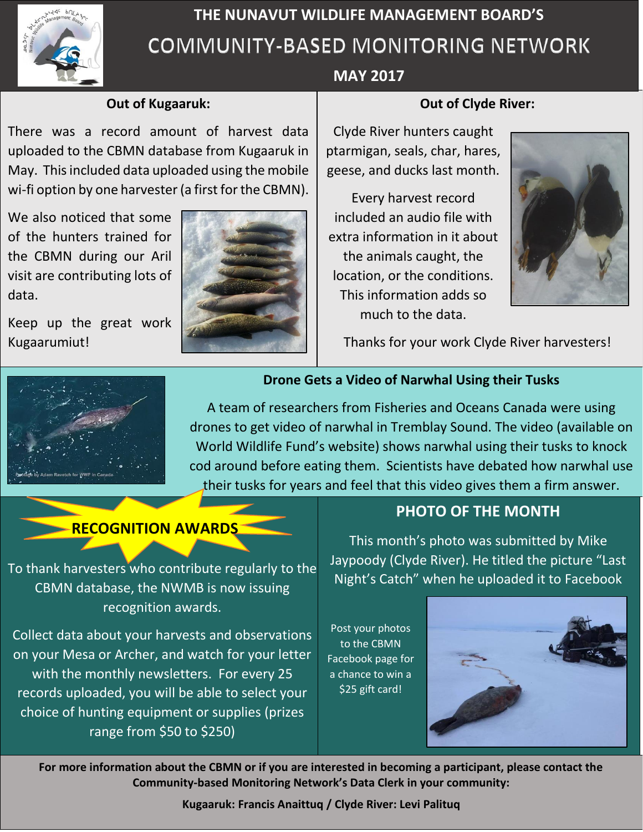

# **THE NUNAVUT WILDLIFE MANAGEMENT BOARD'S** COMMUNITY-BASED MONITORING NETWORK

### **Out of Kugaaruk:**

uploaded to the CBMN database from Kugaaruk in There was a record amount of harvest data May. This included data uploaded using the mobile wi-fi option by one harvester (a first for the CBMN).

We also noticed that some of the hunters trained for the CBMN during our Aril visit are contributing lots of data.

Kugaarumiut! Keep up the great work



# **MAY 2017**

#### **Out of Clyde River:**

Clyde River hunters caught ptarmigan, seals, char, hares, geese, and ducks last month.

Every harvest record included an audio file with extra information in it about the animals caught, the location, or the conditions. This information adds so much to the data.



Thanks for your work Clyde River harvesters!



## **Drone Gets a Video of Narwhal Using their Tusks**

A team of researchers from Fisheries and Oceans Canada were using drones to get video of narwhal in Tremblay Sound. The video (available on World Wildlife Fund's website) shows narwhal using their tusks to knock cod around before eating them. Scientists have debated how narwhal use their tusks for years and feel that this video gives them a firm answer.

# **RECOGNITION AWARDS**

To thank harvesters who contribute regularly to the CBMN database, the NWMB is now issuing recognition awards.

Collect data about your harvests and observations on your Mesa or Archer, and watch for your letter with the monthly newsletters. For every 25 records uploaded, you will be able to select your choice of hunting equipment or supplies (prizes range from \$50 to \$250)

# **PHOTO OF THE MONTH**

This month's photo was submitted by Mike Jaypoody (Clyde River). He titled the picture "Last Night's Catch" when he uploaded it to Facebook

Post your photos to the CBMN Facebook page for a chance to win a \$25 gift card!



**For more information about the CBMN or if you are interested in becoming a participant, please contact the Community-based Monitoring Network's Data Clerk in your community:**

**Kugaaruk: Francis Anaittuq / Clyde River: Levi Palituq**